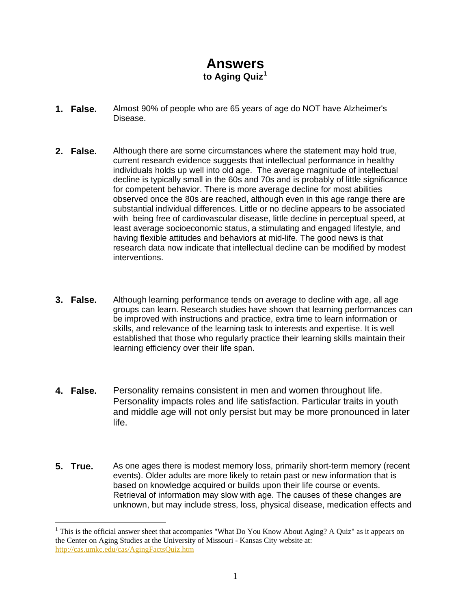## **Answers to Aging Quiz[1](#page-0-0)**

- **1. False.** Almost 90% of people who are 65 years of age do NOT have Alzheimer's Disease.
- **2. False.** Although there are some circumstances where the statement may hold true, current research evidence suggests that intellectual performance in healthy individuals holds up well into old age. The average magnitude of intellectual decline is typically small in the 60s and 70s and is probably of little significance for competent behavior. There is more average decline for most abilities observed once the 80s are reached, although even in this age range there are substantial individual differences. Little or no decline appears to be associated with being free of cardiovascular disease, little decline in perceptual speed, at least average socioeconomic status, a stimulating and engaged lifestyle, and having flexible attitudes and behaviors at mid-life. The good news is that research data now indicate that intellectual decline can be modified by modest interventions.
- **3. False.** Although learning performance tends on average to decline with age, all age groups can learn. Research studies have shown that learning performances can be improved with instructions and practice, extra time to learn information or skills, and relevance of the learning task to interests and expertise. It is well established that those who regularly practice their learning skills maintain their learning efficiency over their life span.
- **4. False.** Personality remains consistent in men and women throughout life. Personality impacts roles and life satisfaction. Particular traits in youth and middle age will not only persist but may be more pronounced in later life.
- **5. True.** As one ages there is modest memory loss, primarily short-term memory (recent events). Older adults are more likely to retain past or new information that is based on knowledge acquired or builds upon their life course or events. Retrieval of information may slow with age. The causes of these changes are unknown, but may include stress, loss, physical disease, medication effects and

 $\overline{a}$ 

<span id="page-0-0"></span><sup>&</sup>lt;sup>1</sup> This is the official answer sheet that accompanies "What Do You Know About Aging? A Quiz" as it appears on the Center on Aging Studies at the University of Missouri - Kansas City website at: <http://cas.umkc.edu/cas/AgingFactsQuiz.htm>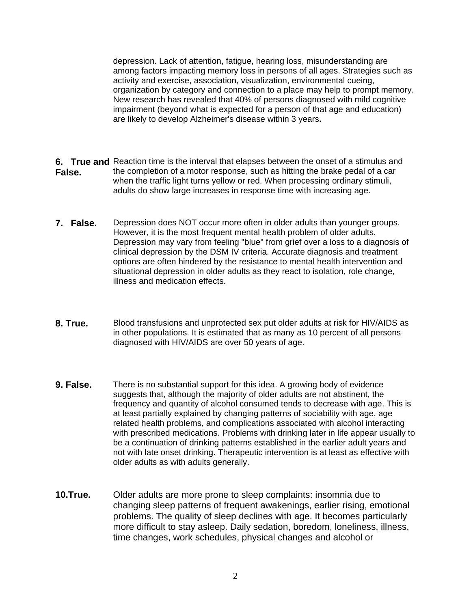depression. Lack of attention, fatigue, hearing loss, misunderstanding are among factors impacting memory loss in persons of all ages. Strategies such as activity and exercise, association, visualization, environmental cueing, organization by category and connection to a place may help to prompt memory. New research has revealed that 40% of persons diagnosed with mild cognitive impairment (beyond what is expected for a person of that age and education) are likely to develop Alzheimer's disease within 3 years**.**

- **6. True and**  Reaction time is the interval that elapses between the onset of a stimulus and **False.** the completion of a motor response, such as hitting the brake pedal of a car when the traffic light turns yellow or red. When processing ordinary stimuli, adults do show large increases in response time with increasing age.
- **7. False.** Depression does NOT occur more often in older adults than younger groups. However, it is the most frequent mental health problem of older adults. Depression may vary from feeling "blue" from grief over a loss to a diagnosis of clinical depression by the DSM IV criteria. Accurate diagnosis and treatment options are often hindered by the resistance to mental health intervention and situational depression in older adults as they react to isolation, role change, illness and medication effects.
- **8. True.** Blood transfusions and unprotected sex put older adults at risk for HIV/AIDS as in other populations. It is estimated that as many as 10 percent of all persons diagnosed with HIV/AIDS are over 50 years of age.
- **9. False.** There is no substantial support for this idea. A growing body of evidence suggests that, although the majority of older adults are not abstinent, the frequency and quantity of alcohol consumed tends to decrease with age. This is at least partially explained by changing patterns of sociability with age, age related health problems, and complications associated with alcohol interacting with prescribed medications. Problems with drinking later in life appear usually to be a continuation of drinking patterns established in the earlier adult years and not with late onset drinking. Therapeutic intervention is at least as effective with older adults as with adults generally.
- **10.True.** Older adults are more prone to sleep complaints: insomnia due to changing sleep patterns of frequent awakenings, earlier rising, emotional problems. The quality of sleep declines with age. It becomes particularly more difficult to stay asleep. Daily sedation, boredom, loneliness, illness, time changes, work schedules, physical changes and alcohol or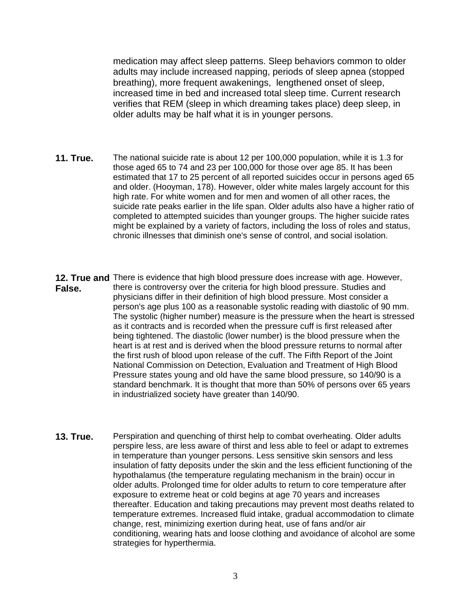medication may affect sleep patterns. Sleep behaviors common to older adults may include increased napping, periods of sleep apnea (stopped breathing), more frequent awakenings, lengthened onset of sleep, increased time in bed and increased total sleep time. Current research verifies that REM (sleep in which dreaming takes place) deep sleep, in older adults may be half what it is in younger persons.

- **11. True.** The national suicide rate is about 12 per 100,000 population, while it is 1.3 for those aged 65 to 74 and 23 per 100,000 for those over age 85. It has been estimated that 17 to 25 percent of all reported suicides occur in persons aged 65 and older. (Hooyman, 178). However, older white males largely account for this high rate. For white women and for men and women of all other races, the suicide rate peaks earlier in the life span. Older adults also have a higher ratio of completed to attempted suicides than younger groups. The higher suicide rates might be explained by a variety of factors, including the loss of roles and status, chronic illnesses that diminish one's sense of control, and social isolation.
- **12. True and** There is evidence that high blood pressure does increase with age. However, **False.**  there is controversy over the criteria for high blood pressure. Studies and physicians differ in their definition of high blood pressure. Most consider a person's age plus 100 as a reasonable systolic reading with diastolic of 90 mm. The systolic (higher number) measure is the pressure when the heart is stressed as it contracts and is recorded when the pressure cuff is first released after being tightened. The diastolic (lower number) is the blood pressure when the heart is at rest and is derived when the blood pressure returns to normal after the first rush of blood upon release of the cuff. The Fifth Report of the Joint National Commission on Detection, Evaluation and Treatment of High Blood Pressure states young and old have the same blood pressure, so 140/90 is a standard benchmark. It is thought that more than 50% of persons over 65 years in industrialized society have greater than 140/90.
- **13. True.** Perspiration and quenching of thirst help to combat overheating. Older adults perspire less, are less aware of thirst and less able to feel or adapt to extremes in temperature than younger persons. Less sensitive skin sensors and less insulation of fatty deposits under the skin and the less efficient functioning of the hypothalamus (the temperature regulating mechanism in the brain) occur in older adults. Prolonged time for older adults to return to core temperature after exposure to extreme heat or cold begins at age 70 years and increases thereafter. Education and taking precautions may prevent most deaths related to temperature extremes. Increased fluid intake, gradual accommodation to climate change, rest, minimizing exertion during heat, use of fans and/or air conditioning, wearing hats and loose clothing and avoidance of alcohol are some strategies for hyperthermia.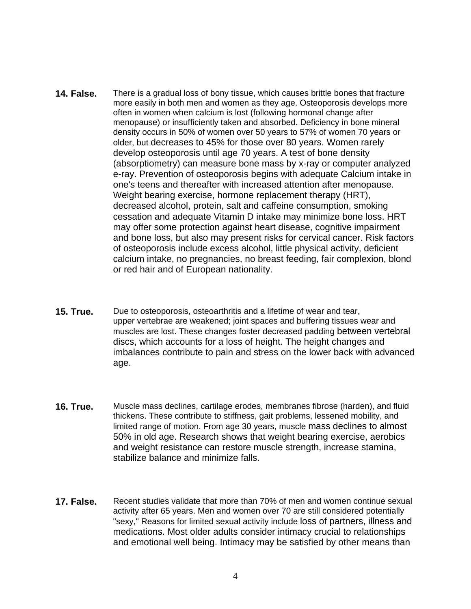- **14. False.** There is a gradual loss of bony tissue, which causes brittle bones that fracture more easily in both men and women as they age. Osteoporosis develops more often in women when calcium is lost (following hormonal change after menopause) or insufficiently taken and absorbed. Deficiency in bone mineral density occurs in 50% of women over 50 years to 57% of women 70 years or older, but decreases to 45% for those over 80 years. Women rarely develop osteoporosis until age 70 years. A test of bone density (absorptiometry) can measure bone mass by x-ray or computer analyzed e-ray. Prevention of osteoporosis begins with adequate Calcium intake in one's teens and thereafter with increased attention after menopause. Weight bearing exercise, hormone replacement therapy (HRT), decreased alcohol, protein, salt and caffeine consumption, smoking cessation and adequate Vitamin D intake may minimize bone loss. HRT may offer some protection against heart disease, cognitive impairment and bone loss, but also may present risks for cervical cancer. Risk factors of osteoporosis include excess alcohol, little physical activity, deficient calcium intake, no pregnancies, no breast feeding, fair complexion, blond or red hair and of European nationality.
- **15. True.** Due to osteoporosis, osteoarthritis and a lifetime of wear and tear, upper vertebrae are weakened; joint spaces and buffering tissues wear and muscles are lost. These changes foster decreased padding between vertebral discs, which accounts for a loss of height. The height changes and imbalances contribute to pain and stress on the lower back with advanced age.
- **16. True.** Muscle mass declines, cartilage erodes, membranes fibrose (harden), and fluid thickens. These contribute to stiffness, gait problems, lessened mobility, and limited range of motion. From age 30 years, muscle mass declines to almost 50% in old age. Research shows that weight bearing exercise, aerobics and weight resistance can restore muscle strength, increase stamina, stabilize balance and minimize falls.
- **17. False.** Recent studies validate that more than 70% of men and women continue sexual activity after 65 years. Men and women over 70 are still considered potentially "sexy," Reasons for limited sexual activity include loss of partners, illness and medications. Most older adults consider intimacy crucial to relationships and emotional well being. Intimacy may be satisfied by other means than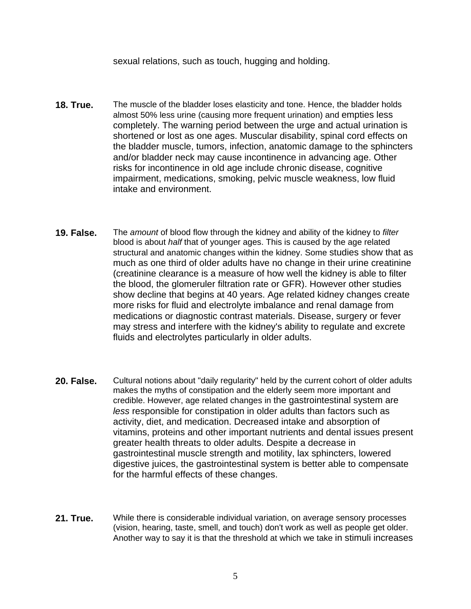sexual relations, such as touch, hugging and holding.

- **18. True.** The muscle of the bladder loses elasticity and tone. Hence, the bladder holds almost 50% less urine (causing more frequent urination) and empties less completely. The warning period between the urge and actual urination is shortened or lost as one ages. Muscular disability, spinal cord effects on the bladder muscle, tumors, infection, anatomic damage to the sphincters and/or bladder neck may cause incontinence in advancing age. Other risks for incontinence in old age include chronic disease, cognitive impairment, medications, smoking, pelvic muscle weakness, low fluid intake and environment.
- **19. False.** The *amount* of blood flow through the kidney and ability of the kidney to *filter* blood is about *half* that of younger ages. This is caused by the age related structural and anatomic changes within the kidney. Some studies show that as much as one third of older adults have no change in their urine creatinine (creatinine clearance is a measure of how well the kidney is able to filter the blood, the glomeruler filtration rate or GFR). However other studies show decline that begins at 40 years. Age related kidney changes create more risks for fluid and electrolyte imbalance and renal damage from medications or diagnostic contrast materials. Disease, surgery or fever may stress and interfere with the kidney's ability to regulate and excrete fluids and electrolytes particularly in older adults.
- **20. False.** Cultural notions about "daily regularity" held by the current cohort of older adults makes the myths of constipation and the elderly seem more important and credible. However, age related changes in the gastrointestinal system are *less* responsible for constipation in older adults than factors such as activity, diet, and medication. Decreased intake and absorption of vitamins, proteins and other important nutrients and dental issues present greater health threats to older adults. Despite a decrease in gastrointestinal muscle strength and motility, lax sphincters, lowered digestive juices, the gastrointestinal system is better able to compensate for the harmful effects of these changes.
- **21. True.** While there is considerable individual variation, on average sensory processes (vision, hearing, taste, smell, and touch) don't work as well as people get older. Another way to say it is that the threshold at which we take in stimuli increases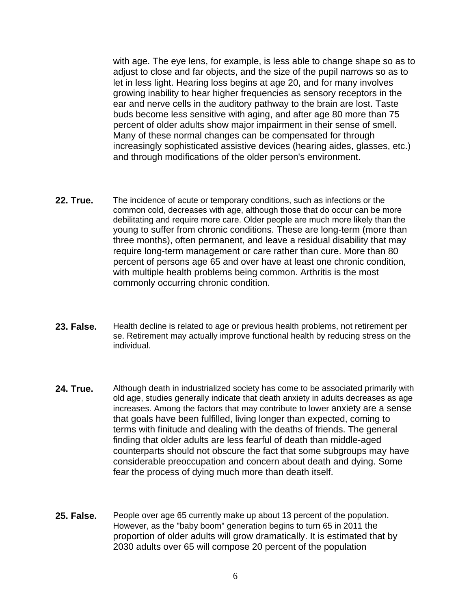with age. The eye lens, for example, is less able to change shape so as to adjust to close and far objects, and the size of the pupil narrows so as to let in less light. Hearing loss begins at age 20, and for many involves growing inability to hear higher frequencies as sensory receptors in the ear and nerve cells in the auditory pathway to the brain are lost. Taste buds become less sensitive with aging, and after age 80 more than 75 percent of older adults show major impairment in their sense of smell. Many of these normal changes can be compensated for through increasingly sophisticated assistive devices (hearing aides, glasses, etc.) and through modifications of the older person's environment.

- **22. True.** The incidence of acute or temporary conditions, such as infections or the common cold, decreases with age, although those that do occur can be more debilitating and require more care. Older people are much more likely than the young to suffer from chronic conditions. These are long-term (more than three months), often permanent, and leave a residual disability that may require long-term management or care rather than cure. More than 80 percent of persons age 65 and over have at least one chronic condition, with multiple health problems being common. Arthritis is the most commonly occurring chronic condition.
- **23. False.** Health decline is related to age or previous health problems, not retirement per se. Retirement may actually improve functional health by reducing stress on the individual.
- **24. True.** Although death in industrialized society has come to be associated primarily with old age, studies generally indicate that death anxiety in adults decreases as age increases. Among the factors that may contribute to lower anxiety are a sense that goals have been fulfilled, living longer than expected, coming to terms with finitude and dealing with the deaths of friends. The general finding that older adults are less fearful of death than middle-aged counterparts should not obscure the fact that some subgroups may have considerable preoccupation and concern about death and dying. Some fear the process of dying much more than death itself.
- **25. False.** People over age 65 currently make up about 13 percent of the population. However, as the "baby boom" generation begins to turn 65 in 2011 the proportion of older adults will grow dramatically. It is estimated that by 2030 adults over 65 will compose 20 percent of the population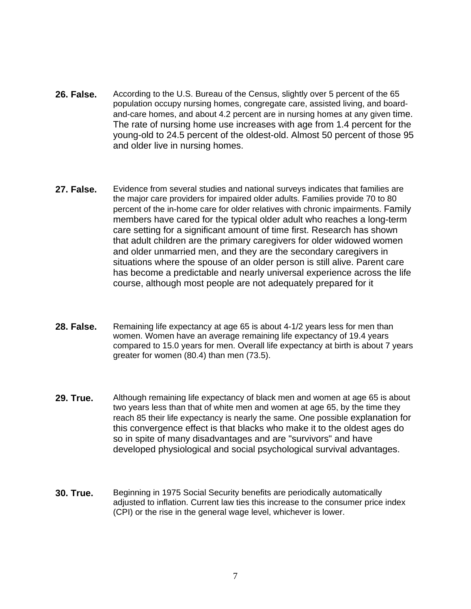- **26. False.** According to the U.S. Bureau of the Census, slightly over 5 percent of the 65 population occupy nursing homes, congregate care, assisted living, and boardand-care homes, and about 4.2 percent are in nursing homes at any given time. The rate of nursing home use increases with age from 1.4 percent for the young-old to 24.5 percent of the oldest-old. Almost 50 percent of those 95 and older live in nursing homes.
- **27. False.** Evidence from several studies and national surveys indicates that families are the major care providers for impaired older adults. Families provide 70 to 80 percent of the in-home care for older relatives with chronic impairments. Family members have cared for the typical older adult who reaches a long-term care setting for a significant amount of time first. Research has shown that adult children are the primary caregivers for older widowed women and older unmarried men, and they are the secondary caregivers in situations where the spouse of an older person is still alive. Parent care has become a predictable and nearly universal experience across the life course, although most people are not adequately prepared for it
- **28. False.** Remaining life expectancy at age 65 is about 4-1/2 years less for men than women. Women have an average remaining life expectancy of 19.4 years compared to 15.0 years for men. Overall life expectancy at birth is about 7 years greater for women (80.4) than men (73.5).
- **29. True.** Although remaining life expectancy of black men and women at age 65 is about two years less than that of white men and women at age 65, by the time they reach 85 their life expectancy is nearly the same. One possible explanation for this convergence effect is that blacks who make it to the oldest ages do so in spite of many disadvantages and are "survivors" and have developed physiological and social psychological survival advantages.
- **30. True.** Beginning in 1975 Social Security benefits are periodically automatically adjusted to inflation. Current law ties this increase to the consumer price index (CPI) or the rise in the general wage level, whichever is lower.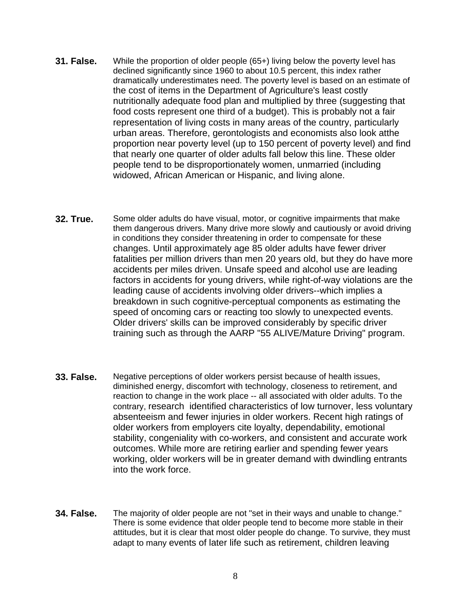- **31. False.** While the proportion of older people (65+) living below the poverty level has declined significantly since 1960 to about 10.5 percent, this index rather dramatically underestimates need. The poverty level is based on an estimate of the cost of items in the Department of Agriculture's least costly nutritionally adequate food plan and multiplied by three (suggesting that food costs represent one third of a budget). This is probably not a fair representation of living costs in many areas of the country, particularly urban areas. Therefore, gerontologists and economists also look atthe proportion near poverty level (up to 150 percent of poverty level) and find that nearly one quarter of older adults fall below this line. These older people tend to be disproportionately women, unmarried (including widowed, African American or Hispanic, and living alone.
- **32. True.** Some older adults do have visual, motor, or cognitive impairments that make them dangerous drivers. Many drive more slowly and cautiously or avoid driving in conditions they consider threatening in order to compensate for these changes. Until approximately age 85 older adults have fewer driver fatalities per million drivers than men 20 years old, but they do have more accidents per miles driven. Unsafe speed and alcohol use are leading factors in accidents for young drivers, while right-of-way violations are the leading cause of accidents involving older drivers--which implies a breakdown in such cognitive-perceptual components as estimating the speed of oncoming cars or reacting too slowly to unexpected events. Older drivers' skills can be improved considerably by specific driver training such as through the AARP "55 ALIVE/Mature Driving" program.
- **33. False.** Negative perceptions of older workers persist because of health issues, diminished energy, discomfort with technology, closeness to retirement, and reaction to change in the work place -- all associated with older adults. To the contrary, research identified characteristics of low turnover, less voluntary absenteeism and fewer injuries in older workers. Recent high ratings of older workers from employers cite loyalty, dependability, emotional stability, congeniality with co-workers, and consistent and accurate work outcomes. While more are retiring earlier and spending fewer years working, older workers will be in greater demand with dwindling entrants into the work force.
- **34. False.** The majority of older people are not "set in their ways and unable to change." There is some evidence that older people tend to become more stable in their attitudes, but it is clear that most older people do change. To survive, they must adapt to many events of later life such as retirement, children leaving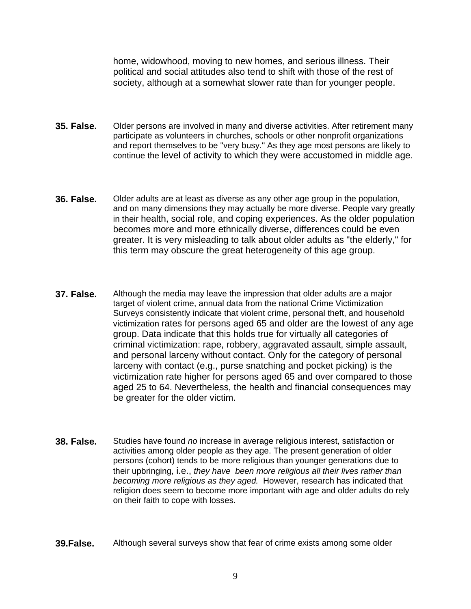home, widowhood, moving to new homes, and serious illness. Their political and social attitudes also tend to shift with those of the rest of society, although at a somewhat slower rate than for younger people.

- **35. False.** Older persons are involved in many and diverse activities. After retirement many participate as volunteers in churches, schools or other nonprofit organizations and report themselves to be "very busy." As they age most persons are likely to continue the level of activity to which they were accustomed in middle age.
- **36. False.** Older adults are at least as diverse as any other age group in the population, and on many dimensions they may actually be more diverse. People vary greatly in their health, social role, and coping experiences. As the older population becomes more and more ethnically diverse, differences could be even greater. It is very misleading to talk about older adults as "the elderly," for this term may obscure the great heterogeneity of this age group.
- **37. False.** Although the media may leave the impression that older adults are a major target of violent crime, annual data from the national Crime Victimization Surveys consistently indicate that violent crime, personal theft, and household victimization rates for persons aged 65 and older are the lowest of any age group. Data indicate that this holds true for virtually all categories of criminal victimization: rape, robbery, aggravated assault, simple assault, and personal larceny without contact. Only for the category of personal larceny with contact (e.g., purse snatching and pocket picking) is the victimization rate higher for persons aged 65 and over compared to those aged 25 to 64. Nevertheless, the health and financial consequences may be greater for the older victim.
- **38. False.** Studies have found *no* increase in average religious interest, satisfaction or activities among older people as they age. The present generation of older persons (cohort) tends to be more religious than younger generations due to their upbringing, i.e., *they have been more religious all their lives rather than becoming more religious as they aged.* However, research has indicated that religion does seem to become more important with age and older adults do rely on their faith to cope with losses.
- **39.False.** Although several surveys show that fear of crime exists among some older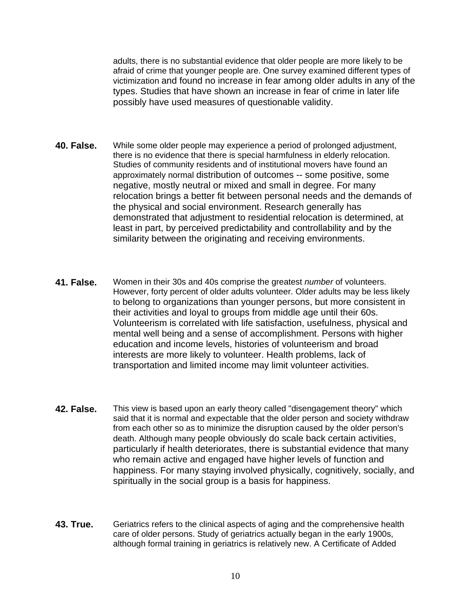adults, there is no substantial evidence that older people are more likely to be afraid of crime that younger people are. One survey examined different types of victimization and found no increase in fear among older adults in any of the types. Studies that have shown an increase in fear of crime in later life possibly have used measures of questionable validity.

- **40. False.** While some older people may experience a period of prolonged adjustment, there is no evidence that there is special harmfulness in elderly relocation. Studies of community residents and of institutional movers have found an approximately normal distribution of outcomes -- some positive, some negative, mostly neutral or mixed and small in degree. For many relocation brings a better fit between personal needs and the demands of the physical and social environment. Research generally has demonstrated that adjustment to residential relocation is determined, at least in part, by perceived predictability and controllability and by the similarity between the originating and receiving environments.
- **41. False.** Women in their 30s and 40s comprise the greatest *number* of volunteers. However, forty percent of older adults volunteer. Older adults may be less likely to belong to organizations than younger persons, but more consistent in their activities and loyal to groups from middle age until their 60s. Volunteerism is correlated with life satisfaction, usefulness, physical and mental well being and a sense of accomplishment. Persons with higher education and income levels, histories of volunteerism and broad interests are more likely to volunteer. Health problems, lack of transportation and limited income may limit volunteer activities.
- **42. False.** This view is based upon an early theory called "disengagement theory" which said that it is normal and expectable that the older person and society withdraw from each other so as to minimize the disruption caused by the older person's death. Although many people obviously do scale back certain activities, particularly if health deteriorates, there is substantial evidence that many who remain active and engaged have higher levels of function and happiness. For many staying involved physically, cognitively, socially, and spiritually in the social group is a basis for happiness.
- **43. True.** Geriatrics refers to the clinical aspects of aging and the comprehensive health care of older persons. Study of geriatrics actually began in the early 1900s, although formal training in geriatrics is relatively new. A Certificate of Added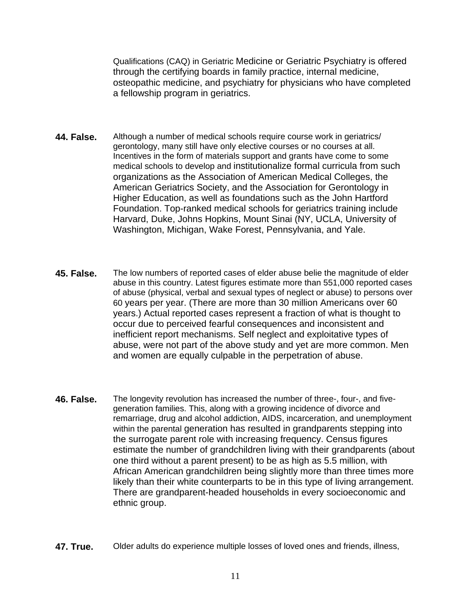Qualifications (CAQ) in Geriatric Medicine or Geriatric Psychiatry is offered through the certifying boards in family practice, internal medicine, osteopathic medicine, and psychiatry for physicians who have completed a fellowship program in geriatrics.

- **44. False.** Although a number of medical schools require course work in geriatrics/ gerontology, many still have only elective courses or no courses at all. Incentives in the form of materials support and grants have come to some medical schools to develop and institutionalize formal curricula from such organizations as the Association of American Medical Colleges, the American Geriatrics Society, and the Association for Gerontology in Higher Education, as well as foundations such as the John Hartford Foundation. Top-ranked medical schools for geriatrics training include Harvard, Duke, Johns Hopkins, Mount Sinai (NY, UCLA, University of Washington, Michigan, Wake Forest, Pennsylvania, and Yale.
- **45. False.** The low numbers of reported cases of elder abuse belie the magnitude of elder abuse in this country. Latest figures estimate more than 551,000 reported cases of abuse (physical, verbal and sexual types of neglect or abuse) to persons over 60 years per year. (There are more than 30 million Americans over 60 years.) Actual reported cases represent a fraction of what is thought to occur due to perceived fearful consequences and inconsistent and inefficient report mechanisms. Self neglect and exploitative types of abuse, were not part of the above study and yet are more common. Men and women are equally culpable in the perpetration of abuse.
- **46. False.** The longevity revolution has increased the number of three-, four-, and fivegeneration families. This, along with a growing incidence of divorce and remarriage, drug and alcohol addiction, AIDS, incarceration, and unemployment within the parental generation has resulted in grandparents stepping into the surrogate parent role with increasing frequency. Census figures estimate the number of grandchildren living with their grandparents (about one third without a parent present) to be as high as 5.5 million, with African American grandchildren being slightly more than three times more likely than their white counterparts to be in this type of living arrangement. There are grandparent-headed households in every socioeconomic and ethnic group.
- **47. True.** Older adults do experience multiple losses of loved ones and friends, illness,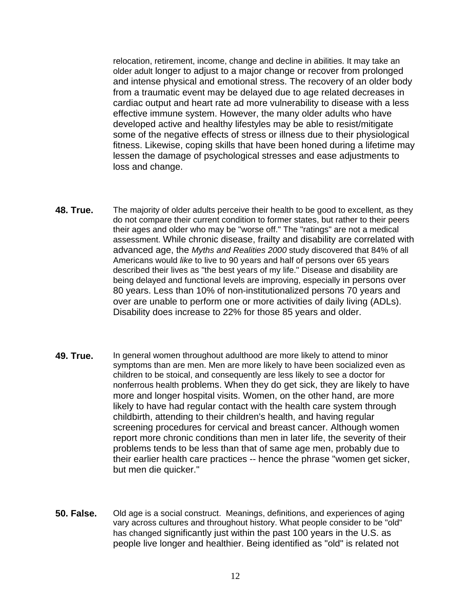relocation, retirement, income, change and decline in abilities. It may take an older adult longer to adjust to a major change or recover from prolonged and intense physical and emotional stress. The recovery of an older body from a traumatic event may be delayed due to age related decreases in cardiac output and heart rate ad more vulnerability to disease with a less effective immune system. However, the many older adults who have developed active and healthy lifestyles may be able to resist/mitigate some of the negative effects of stress or illness due to their physiological fitness. Likewise, coping skills that have been honed during a lifetime may lessen the damage of psychological stresses and ease adjustments to loss and change.

- **48. True.** The majority of older adults perceive their health to be good to excellent, as they do not compare their current condition to former states, but rather to their peers their ages and older who may be "worse off." The "ratings" are not a medical assessment. While chronic disease, frailty and disability are correlated with advanced age, the *Myths and Realities 2000* study discovered that 84% of all Americans would *like* to live to 90 years and half of persons over 65 years described their lives as "the best years of my life." Disease and disability are being delayed and functional levels are improving, especially in persons over 80 years. Less than 10% of non-institutionalized persons 70 years and over are unable to perform one or more activities of daily living (ADLs). Disability does increase to 22% for those 85 years and older.
- **49. True.** In general women throughout adulthood are more likely to attend to minor symptoms than are men. Men are more likely to have been socialized even as children to be stoical, and consequently are less likely to see a doctor for nonferrous health problems. When they do get sick, they are likely to have more and longer hospital visits. Women, on the other hand, are more likely to have had regular contact with the health care system through childbirth, attending to their children's health, and having regular screening procedures for cervical and breast cancer. Although women report more chronic conditions than men in later life, the severity of their problems tends to be less than that of same age men, probably due to their earlier health care practices -- hence the phrase "women get sicker, but men die quicker."
- **50. False.** Old age is a social construct. Meanings, definitions, and experiences of aging vary across cultures and throughout history. What people consider to be "old" has changed significantly just within the past 100 years in the U.S. as people live longer and healthier. Being identified as "old" is related not